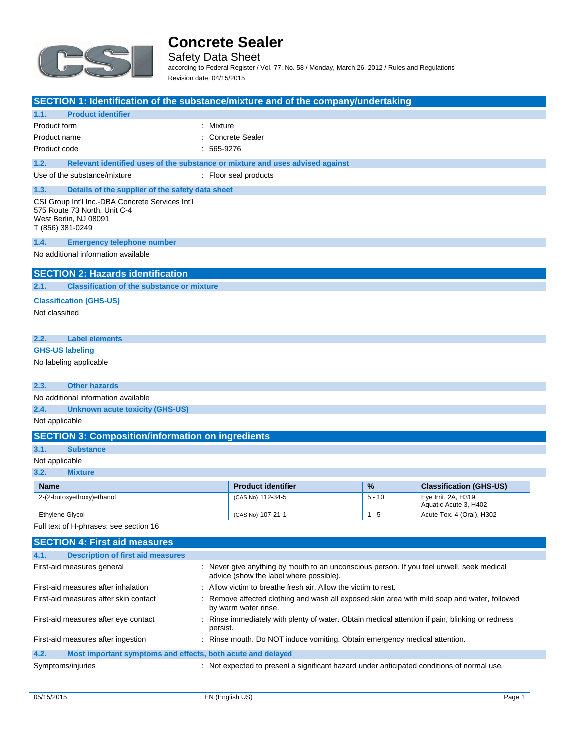

Safety Data Sheet according to Federal Register / Vol. 77, No. 58 / Monday, March 26, 2012 / Rules and Regulations Revision date: 04/15/2015

**SECTION 1: Identification of the substance/mixture and of the company/undertaking**

|                        |                                                                                                                               | <u>a a chairm ann an chaidh ann ann ann ann an chuidhean ann an chaidhean bhunachadh ann a</u> |  |
|------------------------|-------------------------------------------------------------------------------------------------------------------------------|------------------------------------------------------------------------------------------------|--|
| 1.1.                   | <b>Product identifier</b>                                                                                                     |                                                                                                |  |
| Product form           |                                                                                                                               | : Mixture                                                                                      |  |
| Product name           |                                                                                                                               | : Concrete Sealer                                                                              |  |
| Product code           |                                                                                                                               | $: 565-9276$                                                                                   |  |
| 1.2.                   |                                                                                                                               | Relevant identified uses of the substance or mixture and uses advised against                  |  |
|                        | Use of the substance/mixture                                                                                                  | : Floor seal products                                                                          |  |
| 1.3.                   | Details of the supplier of the safety data sheet                                                                              |                                                                                                |  |
|                        | CSI Group Int'l Inc.-DBA Concrete Services Int'l<br>575 Route 73 North, Unit C-4<br>West Berlin, NJ 08091<br>T (856) 381-0249 |                                                                                                |  |
| 1.4.                   | <b>Emergency telephone number</b>                                                                                             |                                                                                                |  |
|                        | No additional information available                                                                                           |                                                                                                |  |
|                        | <b>SECTION 2: Hazards identification</b>                                                                                      |                                                                                                |  |
| 2.1.                   | <b>Classification of the substance or mixture</b>                                                                             |                                                                                                |  |
|                        | <b>Classification (GHS-US)</b>                                                                                                |                                                                                                |  |
| Not classified         |                                                                                                                               |                                                                                                |  |
|                        |                                                                                                                               |                                                                                                |  |
| 2.2.                   | <b>Label elements</b>                                                                                                         |                                                                                                |  |
| <b>GHS-US labeling</b> |                                                                                                                               |                                                                                                |  |
|                        | No labeling applicable                                                                                                        |                                                                                                |  |

**2.3. Other hazards**

No additional information available

**2.4. Unknown acute toxicity (GHS-US)**

Not applicable

|  |  | <b>SECTION 3: Composition/information on ingredients</b> |
|--|--|----------------------------------------------------------|
|--|--|----------------------------------------------------------|

#### **3.1. Substance**

Not applicable

**3.2. Mixture**

| <b>Name</b>               | <b>Product identifier</b> | $\frac{9}{6}$ | <b>Classification (GHS-US)</b>               |
|---------------------------|---------------------------|---------------|----------------------------------------------|
| 2-(2-butoxyethoxy)ethanol | (CAS No) 112-34-5         | $5 - 10$      | Eye Irrit. 2A, H319<br>Aquatic Acute 3, H402 |
| Ethylene Glycol           | (CAS No) 107-21-1         | - 5           | Acute Tox. 4 (Oral), H302                    |

Full text of H-phrases: see section 16

| <b>SECTION 4: First aid measures</b>                                |                                                                                                                                      |
|---------------------------------------------------------------------|--------------------------------------------------------------------------------------------------------------------------------------|
| <b>Description of first aid measures</b><br>4.1.                    |                                                                                                                                      |
| First-aid measures general                                          | : Never give anything by mouth to an unconscious person. If you feel unwell, seek medical<br>advice (show the label where possible). |
| First-aid measures after inhalation                                 | : Allow victim to breathe fresh air. Allow the victim to rest.                                                                       |
| First-aid measures after skin contact                               | : Remove affected clothing and wash all exposed skin area with mild soap and water, followed<br>by warm water rinse.                 |
| First-aid measures after eye contact                                | : Rinse immediately with plenty of water. Obtain medical attention if pain, blinking or redness<br>persist.                          |
| First-aid measures after ingestion                                  | : Rinse mouth. Do NOT induce vomiting. Obtain emergency medical attention.                                                           |
| 4.2.<br>Most important symptoms and effects, both acute and delayed |                                                                                                                                      |
| Symptoms/injuries                                                   | : Not expected to present a significant hazard under anticipated conditions of normal use.                                           |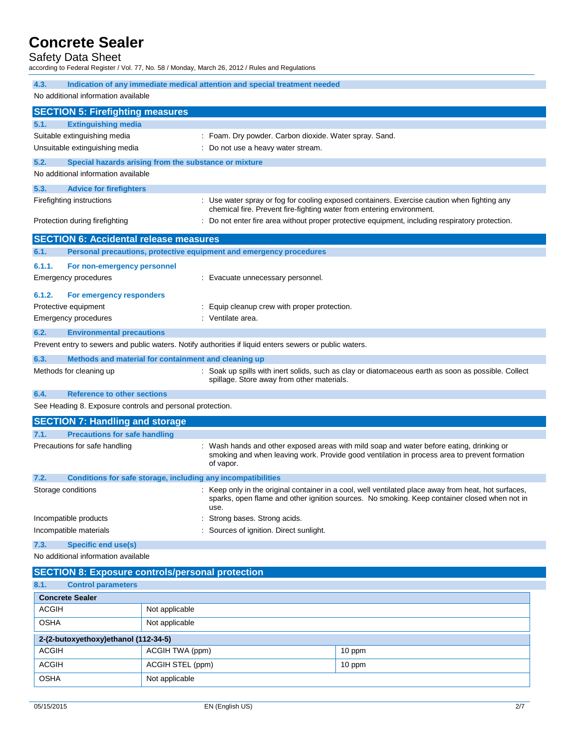## Safety Data Sheet

according to Federal Register / Vol. 77, No. 58 / Monday, March 26, 2012 / Rules and Regulations

| 4.3.                                                               | Indication of any immediate medical attention and special treatment needed                                                                                                                                   |  |  |
|--------------------------------------------------------------------|--------------------------------------------------------------------------------------------------------------------------------------------------------------------------------------------------------------|--|--|
| No additional information available                                |                                                                                                                                                                                                              |  |  |
|                                                                    |                                                                                                                                                                                                              |  |  |
| <b>SECTION 5: Firefighting measures</b>                            |                                                                                                                                                                                                              |  |  |
| <b>Extinguishing media</b><br>5.1.<br>Suitable extinguishing media | : Foam. Dry powder. Carbon dioxide. Water spray. Sand.                                                                                                                                                       |  |  |
| Unsuitable extinguishing media                                     | : Do not use a heavy water stream.                                                                                                                                                                           |  |  |
| 5.2.                                                               | Special hazards arising from the substance or mixture                                                                                                                                                        |  |  |
| No additional information available                                |                                                                                                                                                                                                              |  |  |
| 5.3.                                                               |                                                                                                                                                                                                              |  |  |
| <b>Advice for firefighters</b><br>Firefighting instructions        | : Use water spray or fog for cooling exposed containers. Exercise caution when fighting any                                                                                                                  |  |  |
|                                                                    | chemical fire. Prevent fire-fighting water from entering environment.                                                                                                                                        |  |  |
| Protection during firefighting                                     | : Do not enter fire area without proper protective equipment, including respiratory protection.                                                                                                              |  |  |
| <b>SECTION 6: Accidental release measures</b>                      |                                                                                                                                                                                                              |  |  |
| 6.1.                                                               | Personal precautions, protective equipment and emergency procedures                                                                                                                                          |  |  |
| 6.1.1.<br>For non-emergency personnel                              |                                                                                                                                                                                                              |  |  |
| <b>Emergency procedures</b>                                        | : Evacuate unnecessary personnel.                                                                                                                                                                            |  |  |
|                                                                    |                                                                                                                                                                                                              |  |  |
| 6.1.2.<br>For emergency responders                                 |                                                                                                                                                                                                              |  |  |
| Protective equipment                                               | : Equip cleanup crew with proper protection.                                                                                                                                                                 |  |  |
| <b>Emergency procedures</b>                                        | : Ventilate area.                                                                                                                                                                                            |  |  |
| 6.2.<br><b>Environmental precautions</b>                           |                                                                                                                                                                                                              |  |  |
|                                                                    | Prevent entry to sewers and public waters. Notify authorities if liquid enters sewers or public waters.                                                                                                      |  |  |
| 6.3.                                                               | Methods and material for containment and cleaning up                                                                                                                                                         |  |  |
| Methods for cleaning up                                            | : Soak up spills with inert solids, such as clay or diatomaceous earth as soon as possible. Collect<br>spillage. Store away from other materials.                                                            |  |  |
| <b>Reference to other sections</b><br>6.4.                         |                                                                                                                                                                                                              |  |  |
| See Heading 8. Exposure controls and personal protection.          |                                                                                                                                                                                                              |  |  |
| <b>SECTION 7: Handling and storage</b>                             |                                                                                                                                                                                                              |  |  |
| 7.1.<br><b>Precautions for safe handling</b>                       |                                                                                                                                                                                                              |  |  |
| Precautions for safe handling                                      | : Wash hands and other exposed areas with mild soap and water before eating, drinking or<br>smoking and when leaving work. Provide good ventilation in process area to prevent formation<br>of vapor.        |  |  |
| 7.2.                                                               | Conditions for safe storage, including any incompatibilities                                                                                                                                                 |  |  |
| Storage conditions                                                 | : Keep only in the original container in a cool, well ventilated place away from heat, hot surfaces,<br>sparks, open flame and other ignition sources. No smoking. Keep container closed when not in<br>use. |  |  |
| Incompatible products                                              | Strong bases. Strong acids.                                                                                                                                                                                  |  |  |
| Incompatible materials                                             | Sources of ignition. Direct sunlight.                                                                                                                                                                        |  |  |
| <b>Specific end use(s)</b><br>7.3.                                 |                                                                                                                                                                                                              |  |  |
| No additional information available                                |                                                                                                                                                                                                              |  |  |
| <b>SECTION 8: Exposure controls/personal protection</b>            |                                                                                                                                                                                                              |  |  |
| <b>Control parameters</b><br>8.1.                                  |                                                                                                                                                                                                              |  |  |
| <b>Concrete Sealer</b>                                             |                                                                                                                                                                                                              |  |  |
| <b>ACGIH</b>                                                       | Not applicable                                                                                                                                                                                               |  |  |

| <b>OSHA</b>                          | Not applicable   |        |  |
|--------------------------------------|------------------|--------|--|
| 2-(2-butoxyethoxy)ethanol (112-34-5) |                  |        |  |
| <b>ACGIH</b>                         | ACGIH TWA (ppm)  | 10 ppm |  |
| <b>ACGIH</b>                         | ACGIH STEL (ppm) | 10 ppm |  |
| <b>OSHA</b>                          | Not applicable   |        |  |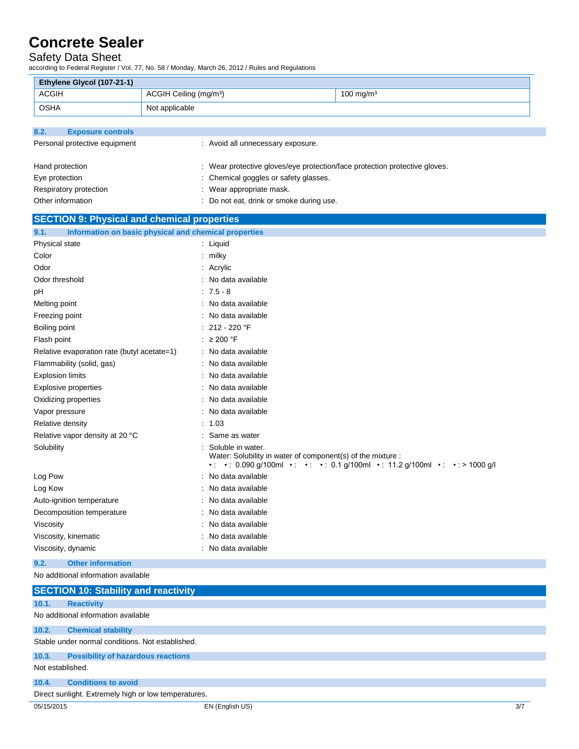### Safety Data Sheet

L.

according to Federal Register / Vol. 77, No. 58 / Monday, March 26, 2012 / Rules and Regulations

| Ethylene Glycol (107-21-1)                                             |                                                       |                                                                                                                                          |
|------------------------------------------------------------------------|-------------------------------------------------------|------------------------------------------------------------------------------------------------------------------------------------------|
| <b>ACGIH</b>                                                           | ACGIH Ceiling (mg/m <sup>3</sup> )                    | $100$ mg/m <sup>3</sup>                                                                                                                  |
| <b>OSHA</b>                                                            | Not applicable                                        |                                                                                                                                          |
|                                                                        |                                                       |                                                                                                                                          |
| 8.2.<br><b>Exposure controls</b>                                       |                                                       |                                                                                                                                          |
| Personal protective equipment                                          | : Avoid all unnecessary exposure.                     |                                                                                                                                          |
|                                                                        |                                                       |                                                                                                                                          |
| Hand protection                                                        |                                                       | : Wear protective gloves/eye protection/face protection protective gloves.                                                               |
| Eye protection                                                         | Chemical goggles or safety glasses.                   |                                                                                                                                          |
| Respiratory protection                                                 | Wear appropriate mask.                                |                                                                                                                                          |
| Other information                                                      | Do not eat, drink or smoke during use.                |                                                                                                                                          |
| <b>SECTION 9: Physical and chemical properties</b>                     |                                                       |                                                                                                                                          |
| 9.1.                                                                   | Information on basic physical and chemical properties |                                                                                                                                          |
| Physical state                                                         | : Liquid                                              |                                                                                                                                          |
| Color                                                                  | : milky                                               |                                                                                                                                          |
| Odor                                                                   | Acrylic                                               |                                                                                                                                          |
| Odor threshold                                                         | No data available                                     |                                                                                                                                          |
| рH                                                                     | $: 7.5 - 8$                                           |                                                                                                                                          |
| Melting point                                                          | : No data available                                   |                                                                                                                                          |
| Freezing point                                                         | No data available                                     |                                                                                                                                          |
| Boiling point                                                          | 212 - 220 °F                                          |                                                                                                                                          |
| Flash point                                                            | : $\geq 200$ °F                                       |                                                                                                                                          |
| Relative evaporation rate (butyl acetate=1)                            | : No data available                                   |                                                                                                                                          |
| Flammability (solid, gas)                                              | : No data available                                   |                                                                                                                                          |
| <b>Explosion limits</b>                                                | No data available                                     |                                                                                                                                          |
| <b>Explosive properties</b>                                            | No data available                                     |                                                                                                                                          |
| Oxidizing properties                                                   | No data available                                     |                                                                                                                                          |
| Vapor pressure                                                         | No data available                                     |                                                                                                                                          |
| Relative density                                                       | 1.03                                                  |                                                                                                                                          |
| Relative vapor density at 20 °C                                        | Same as water                                         |                                                                                                                                          |
| Solubility                                                             | Soluble in water.                                     | Water: Solubility in water of component(s) of the mixture :<br>•: •: 0.090 g/100ml •: •: •: 0.1 g/100ml •: 11.2 g/100ml •: •: > 1000 g/l |
| Log Pow                                                                | No data available                                     |                                                                                                                                          |
| Log Kow                                                                | No data available                                     |                                                                                                                                          |
| Auto-ignition temperature                                              | No data available                                     |                                                                                                                                          |
| Decomposition temperature                                              | No data available                                     |                                                                                                                                          |
| Viscosity                                                              | No data available                                     |                                                                                                                                          |
| Viscosity, kinematic                                                   | No data available                                     |                                                                                                                                          |
| Viscosity, dynamic                                                     | No data available                                     |                                                                                                                                          |
| <b>Other information</b><br>9.2.                                       |                                                       |                                                                                                                                          |
| No additional information available                                    |                                                       |                                                                                                                                          |
| <b>SECTION 10: Stability and reactivity</b>                            |                                                       |                                                                                                                                          |
| 10.1.<br><b>Reactivity</b>                                             |                                                       |                                                                                                                                          |
| No additional information available                                    |                                                       |                                                                                                                                          |
| <b>Chemical stability</b><br>10.2.                                     |                                                       |                                                                                                                                          |
| Stable under normal conditions. Not established.                       |                                                       |                                                                                                                                          |
|                                                                        |                                                       |                                                                                                                                          |
| <b>Possibility of hazardous reactions</b><br>10.3.<br>Not established. |                                                       |                                                                                                                                          |
|                                                                        |                                                       |                                                                                                                                          |
| <b>Conditions to avoid</b><br>10.4.                                    |                                                       |                                                                                                                                          |
| Direct sunlight. Extremely high or low temperatures.                   |                                                       |                                                                                                                                          |
| 05/15/2015                                                             | EN (English US)                                       | 3/7                                                                                                                                      |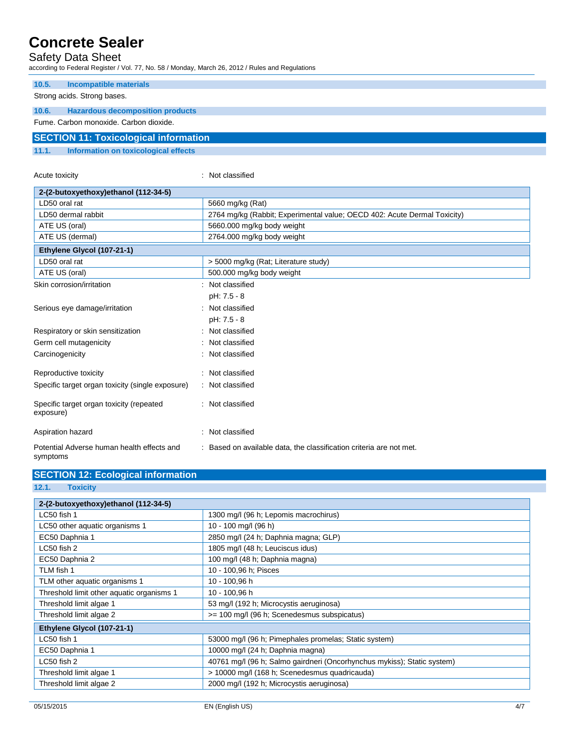### Safety Data Sheet

according to Federal Register / Vol. 77, No. 58 / Monday, March 26, 2012 / Rules and Regulations

Acute toxicity in the contract of the classified in the classified in the classified in the classified in the classified in the classified in the classified in the classified in the classified in the classified in the clas

| 10.5.                                        | Incompatible materials                  |  |
|----------------------------------------------|-----------------------------------------|--|
|                                              | Strong acids. Strong bases.             |  |
| 10.6.                                        | <b>Hazardous decomposition products</b> |  |
| Fume, Carbon monoxide, Carbon dioxide.       |                                         |  |
| <b>SECTION 11: Toxicological information</b> |                                         |  |
| 11.1.                                        | Information on toxicological effects    |  |

| 2-(2-butoxyethoxy)ethanol (112-34-5)                  |                                                                          |
|-------------------------------------------------------|--------------------------------------------------------------------------|
| LD50 oral rat                                         | 5660 mg/kg (Rat)                                                         |
| LD50 dermal rabbit                                    | 2764 mg/kg (Rabbit; Experimental value; OECD 402: Acute Dermal Toxicity) |
| ATE US (oral)                                         | 5660.000 mg/kg body weight                                               |
| ATE US (dermal)                                       | 2764.000 mg/kg body weight                                               |
| Ethylene Glycol (107-21-1)                            |                                                                          |
| LD50 oral rat                                         | > 5000 mg/kg (Rat; Literature study)                                     |
| ATE US (oral)                                         | 500.000 mg/kg body weight                                                |
| Skin corrosion/irritation                             | : Not classified                                                         |
|                                                       | pH: 7.5 - 8                                                              |
| Serious eye damage/irritation                         | : Not classified                                                         |
|                                                       | pH: 7.5 - 8                                                              |
| Respiratory or skin sensitization                     | : Not classified                                                         |
| Germ cell mutagenicity                                | Not classified                                                           |
| Carcinogenicity                                       | Not classified                                                           |
| Reproductive toxicity                                 | : Not classified                                                         |
| Specific target organ toxicity (single exposure)      | : Not classified                                                         |
| Specific target organ toxicity (repeated<br>exposure) | : Not classified                                                         |
| Aspiration hazard                                     | : Not classified                                                         |
| Potential Adverse human health effects and            | Based on available data, the classification criteria are not met.        |

Potential Adverse human health effects and symptoms

| <b>SECTION 12: Ecological information</b> |                                                                         |  |  |
|-------------------------------------------|-------------------------------------------------------------------------|--|--|
| 12.1.<br><b>Toxicity</b>                  |                                                                         |  |  |
|                                           |                                                                         |  |  |
| 2-(2-butoxyethoxy)ethanol (112-34-5)      |                                                                         |  |  |
| LC50 fish 1                               | 1300 mg/l (96 h; Lepomis macrochirus)                                   |  |  |
| LC50 other aquatic organisms 1            | 10 - 100 mg/l (96 h)                                                    |  |  |
| EC50 Daphnia 1                            | 2850 mg/l (24 h; Daphnia magna; GLP)                                    |  |  |
| LC50 fish 2                               | 1805 mg/l (48 h; Leuciscus idus)                                        |  |  |
| EC50 Daphnia 2                            | 100 mg/l (48 h; Daphnia magna)                                          |  |  |
| TLM fish 1                                | 10 - 100,96 h; Pisces                                                   |  |  |
| TLM other aquatic organisms 1             | 10 - 100,96 h                                                           |  |  |
| Threshold limit other aquatic organisms 1 | 10 - 100,96 h                                                           |  |  |
| Threshold limit algae 1                   | 53 mg/l (192 h; Microcystis aeruginosa)                                 |  |  |
| Threshold limit algae 2                   | >= 100 mg/l (96 h; Scenedesmus subspicatus)                             |  |  |
| Ethylene Glycol (107-21-1)                |                                                                         |  |  |
| LC50 fish 1                               | 53000 mg/l (96 h; Pimephales promelas; Static system)                   |  |  |
| EC50 Daphnia 1                            | 10000 mg/l (24 h; Daphnia magna)                                        |  |  |
| LC50 fish 2                               | 40761 mg/l (96 h; Salmo gairdneri (Oncorhynchus mykiss); Static system) |  |  |
| Threshold limit algae 1                   | > 10000 mg/l (168 h; Scenedesmus quadricauda)                           |  |  |
| Threshold limit algae 2                   | 2000 mg/l (192 h; Microcystis aeruginosa)                               |  |  |
|                                           |                                                                         |  |  |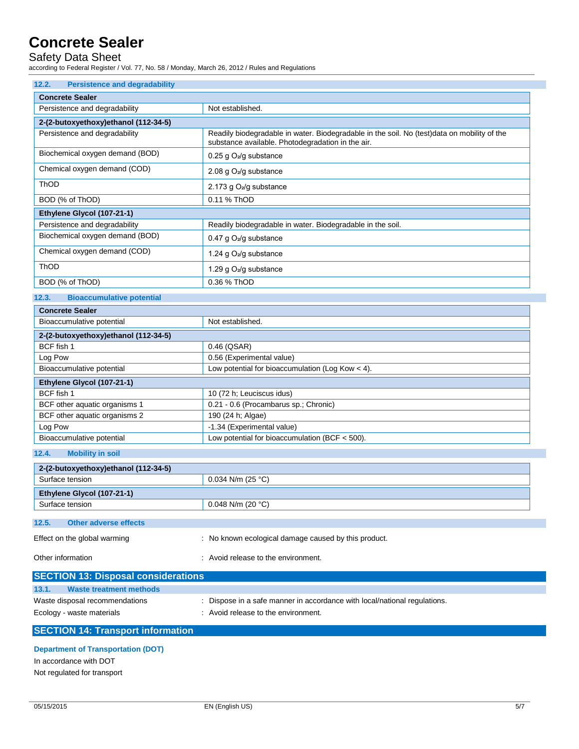### Safety Data Sheet

according to Federal Register / Vol. 77, No. 58 / Monday, March 26, 2012 / Rules and Regulations

| 12.2.<br><b>Persistence and degradability</b>     |                                                                                                                                                   |  |
|---------------------------------------------------|---------------------------------------------------------------------------------------------------------------------------------------------------|--|
| <b>Concrete Sealer</b>                            |                                                                                                                                                   |  |
| Persistence and degradability<br>Not established. |                                                                                                                                                   |  |
| 2-(2-butoxyethoxy)ethanol (112-34-5)              |                                                                                                                                                   |  |
| Persistence and degradability                     | Readily biodegradable in water. Biodegradable in the soil. No (test) data on mobility of the<br>substance available. Photodegradation in the air. |  |
| Biochemical oxygen demand (BOD)                   | 0.25 g $O_2$ /g substance                                                                                                                         |  |
| Chemical oxygen demand (COD)                      | 2.08 g $O_2$ /g substance                                                                                                                         |  |
| <b>ThOD</b>                                       | 2.173 g $O2/g$ substance                                                                                                                          |  |
| BOD (% of ThOD)                                   | 0.11 % ThOD                                                                                                                                       |  |
| Ethylene Glycol (107-21-1)                        |                                                                                                                                                   |  |
| Persistence and degradability                     | Readily biodegradable in water. Biodegradable in the soil.                                                                                        |  |
| Biochemical oxygen demand (BOD)                   | 0.47 g $O_2$ /g substance                                                                                                                         |  |
| Chemical oxygen demand (COD)                      | 1.24 g O <sub>2</sub> /g substance                                                                                                                |  |
| <b>ThOD</b>                                       | 1.29 g $O_2$ /g substance                                                                                                                         |  |
| BOD (% of ThOD)                                   | 0.36 % ThOD                                                                                                                                       |  |
| 12.3.<br><b>Bioaccumulative potential</b>         |                                                                                                                                                   |  |

| <b>Concrete Sealer</b>               |                                                    |
|--------------------------------------|----------------------------------------------------|
| Bioaccumulative potential            | Not established.                                   |
| 2-(2-butoxyethoxy)ethanol (112-34-5) |                                                    |
| BCF fish 1                           | $0.46$ (QSAR)                                      |
| Log Pow                              | 0.56 (Experimental value)                          |
| Bioaccumulative potential            | Low potential for bioaccumulation (Log Kow $<$ 4). |
| Ethylene Glycol (107-21-1)           |                                                    |
| BCF fish 1                           | 10 (72 h; Leuciscus idus)                          |
| BCF other aquatic organisms 1        | 0.21 - 0.6 (Procambarus sp.; Chronic)              |
| BCF other aquatic organisms 2        | 190 (24 h; Algae)                                  |
| Log Pow                              | -1.34 (Experimental value)                         |
| Bioaccumulative potential            | Low potential for bioaccumulation (BCF $<$ 500).   |
|                                      |                                                    |

## **12.4. Mobility in soil**

| 2-(2-butoxyethoxy)ethanol (112-34-5) |                     |  |
|--------------------------------------|---------------------|--|
| Surface tension                      | $0.034$ N/m (25 °C) |  |
| Ethylene Glycol (107-21-1)           |                     |  |
| Surface tension                      | $0.048$ N/m (20 °C) |  |
|                                      |                     |  |
| 12.5.<br>Other adverse effects       |                     |  |

| Effect on the global warming | : No known ecological damage caused by this product. |
|------------------------------|------------------------------------------------------|
| Other information            | Avoid release to the environment.                    |

| <b>SECTION 13: Disposal considerations</b> |                                                                         |
|--------------------------------------------|-------------------------------------------------------------------------|
| 13.1.<br>Waste treatment methods           |                                                                         |
| Waste disposal recommendations             | Dispose in a safe manner in accordance with local/national regulations. |
| Ecology - waste materials                  | : Avoid release to the environment.                                     |
|                                            |                                                                         |

## **SECTION 14: Transport information**

#### **Department of Transportation (DOT)**

In accordance with DOT Not regulated for transport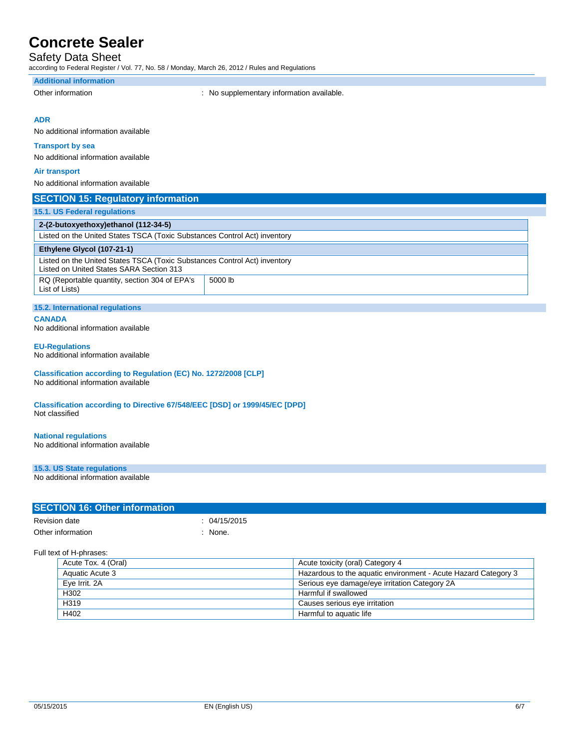## Safety Data Sheet

according to Federal Register / Vol. 77, No. 58 / Monday, March 26, 2012 / Rules and Regulations

#### **Additional information**

Other information **contains the container of the container**  $\cdot$  No supplementary information available.

#### **ADR**

No additional information available

#### **Transport by sea**

No additional information available

#### **Air transport**

No additional information available

#### **SECTION 15: Regulatory information**

| <b>15.1. US Federal regulations</b>                                                                                   |         |  |
|-----------------------------------------------------------------------------------------------------------------------|---------|--|
| 2-(2-butoxyethoxy)ethanol (112-34-5)                                                                                  |         |  |
| Listed on the United States TSCA (Toxic Substances Control Act) inventory                                             |         |  |
| Ethylene Glycol (107-21-1)                                                                                            |         |  |
| Listed on the United States TSCA (Toxic Substances Control Act) inventory<br>Listed on United States SARA Section 313 |         |  |
| RQ (Reportable quantity, section 304 of EPA's<br>List of Lists)                                                       | 5000 lb |  |

### **15.2. International regulations**

**CANADA**

No additional information available

#### **EU-Regulations**

No additional information available

#### **Classification according to Regulation (EC) No. 1272/2008 [CLP]** No additional information available

**Classification according to Directive 67/548/EEC [DSD] or 1999/45/EC [DPD]** Not classified

#### **National regulations**

No additional information available

### **15.3. US State regulations**

No additional information available

| <b>SECTION 16: Other information</b> |              |  |
|--------------------------------------|--------------|--|
| Revision date                        | : 04/15/2015 |  |
| Other information                    | : None.      |  |

#### Full text of H-phrases:

| Acute Tox. 4 (Oral) | Acute toxicity (oral) Category 4                               |
|---------------------|----------------------------------------------------------------|
| Aquatic Acute 3     | Hazardous to the aguatic environment - Acute Hazard Category 3 |
| Eve Irrit, 2A       | Serious eye damage/eye irritation Category 2A                  |
| H <sub>302</sub>    | Harmful if swallowed                                           |
| H319                | Causes serious eye irritation                                  |
| H402                | Harmful to aquatic life                                        |